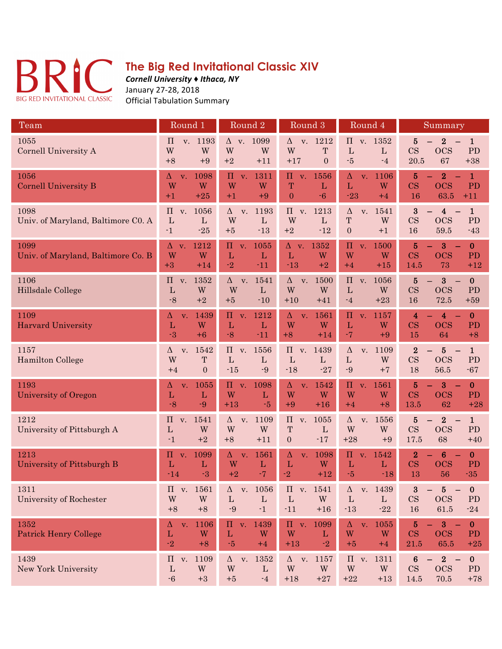

## **The Big Red Invitational Classic XIV**

*Cornell University ♦ Ithaca, NY* January 27-28, 2018 Official Tabulation Summary

| Team                                       | Round 1                                                           | Round <sub>2</sub>                                                              | Round <sub>3</sub>                                                   | Round 4                                                            | Summary                                                                                                                               |
|--------------------------------------------|-------------------------------------------------------------------|---------------------------------------------------------------------------------|----------------------------------------------------------------------|--------------------------------------------------------------------|---------------------------------------------------------------------------------------------------------------------------------------|
| 1055<br>Cornell University A               | v. 1193<br>$\prod$<br>W<br>W<br>$+8$<br>$+9$                      | 1099<br>$\Delta$ v.<br>W<br>W<br>$+2$<br>$+11$                                  | $\Delta$ v. 1212<br>W<br>T<br>$+17$<br>$\overline{0}$                | $\Pi$ v. 1352<br>$\mathbf{L}$<br>$\mathbf{L}$<br>$-5$<br>$-4$      | 5<br>$\bf{2}$<br>$\mathbf{1}$<br>CS<br><b>OCS</b><br>PD<br>20.5<br>67<br>$+38$                                                        |
| 1056<br><b>Cornell University B</b>        | 1098<br>Δ<br>V.<br>W<br>W<br>$+1$<br>$+25$                        | $\boldsymbol{\Pi}$<br>1311<br>V <sub>1</sub><br>W<br>W<br>$+1$<br>$+9$          | $\Pi$<br>1556<br>V.<br>T<br>$\mathbf{L}$<br>$-6$<br>$\boldsymbol{0}$ | 1106<br>$\Delta$<br>V <sub>1</sub><br>W<br>L<br>$-23$<br>$+4$      | $\overline{5}$<br>$\overline{2}$<br>$\mathbf{1}$<br>$\overline{\text{CS}}$<br><b>OCS</b><br>PD<br>16<br>63.5<br>$+11$                 |
| 1098<br>Univ. of Maryland, Baltimore C0. A | 1056<br>$\Pi$ v.<br>$\mathbf{L}$<br>$\mathbf{L}$<br>$-1$<br>$-25$ | 1193<br>$\Delta$<br>v.<br>W<br>$\mathbf{L}$<br>$-13$<br>$+5$                    | 1213<br>$\Pi$<br>V.<br>W<br>$\mathbf{L}$<br>$+2$<br>$-12$            | 1541<br>$\Delta$<br>V.<br>T<br>W<br>$\overline{0}$<br>$+1$         | $\bf{3}$<br>$\mathbf{1}$<br>$\overline{\mathbf{4}}$<br>CS<br><b>OCS</b><br>PD<br>16<br>59.5<br>$-43$                                  |
| 1099<br>Univ. of Maryland, Baltimore Co. B | 1212<br>$\Delta$ v.<br>W<br>W<br>$+3$<br>$+14$                    | 1055<br>$\Pi$<br>V <sub>1</sub><br>$\mathbf{L}$<br>L<br>$-2$<br>$-11$           | 1352<br>$\Delta$ v.<br>$\mathbf{L}$<br>W<br>$+2$<br>$-13$            | $\Pi$<br>1500<br>V <sub>1</sub><br>W<br>W<br>$+4$<br>$+15$         | $\overline{5}$<br>$\bf{3}$<br>$\mathbf{0}$<br><b>CS</b><br><b>OCS</b><br><b>PD</b><br>14.5<br>73<br>$+12$                             |
| 1106<br>Hillsdale College                  | 1352<br>$\Pi$<br>V.<br>W<br>$\mathbf{L}$<br>$+2$<br>$-8$          | 1541<br>$\Delta$<br>V.<br>W<br>$\mathbf{L}$<br>$+5$<br>$-10$                    | 1500<br>$\Delta$<br>V.<br>W<br>W<br>$+10$<br>$+41$                   | $\Pi$<br>1056<br>V.<br>$\mathbf{L}$<br>W<br>$-4$<br>$+23$          | $\overline{5}$<br>$\bf{0}$<br>$\bf{3}$<br>$\overline{\text{CS}}$<br>OCS<br>PD<br>16<br>72.5<br>$+59$                                  |
| 1109<br><b>Harvard University</b>          | 1439<br>Δ<br>V.<br>W<br>L<br>$-3$<br>$+6$                         | 1212<br>$\Pi$<br>V <sub>1</sub><br>$\mathbf{L}$<br>$\mathbf L$<br>$-8$<br>$-11$ | 1561<br>$\Delta$<br>V.<br>W<br>W<br>$+8$<br>$+14$                    | $\Pi$<br>1157<br>V.<br>L<br>W<br>$-7$<br>$+9$                      | $\mathbf{0}$<br>4<br>$\overline{\mathbf{4}}$<br>$\overline{\text{CS}}$<br><b>OCS</b><br>PD<br>15<br>64<br>$+8$                        |
| 1157<br><b>Hamilton College</b>            | 1542<br>Δ<br>V.<br>W<br>T<br>$+4$<br>$\mathbf{0}$                 | $\Pi$ v.<br>1556<br>L<br>L<br>$-15$<br>$-9$                                     | $\Pi$<br>1439<br>V.<br>$\mathbf{L}$<br>L<br>$-18$<br>$-27$           | 1109<br>$\Delta$<br>V.<br>W<br>$\mathbf{L}$<br>$-9$<br>$+7$        | $\boldsymbol{2}$<br>5<br>$\mathbf{1}$<br>$\overline{\text{CS}}$<br><b>OCS</b><br><b>PD</b><br>18<br>56.5<br>$-67$                     |
| 1193<br>University of Oregon               | 1055<br>Δ<br>V.<br>$\mathbf{L}$<br>$\mathbf{L}$<br>$-8$<br>$-9$   | $\Pi$<br>1098<br>V <sub>1</sub><br>W<br>$\mathbf{L}$<br>$-5$<br>$+13$           | 1542<br>Δ<br>V.<br>W<br>W<br>$+9$<br>$+16$                           | $\Pi$<br>1561<br>V.<br>W<br>W<br>$+4$<br>$+8$                      | 5<br>3<br>$\bf{0}$<br>CS<br><b>OCS</b><br>PD<br>13.5<br>62<br>$+28$                                                                   |
| 1212<br>University of Pittsburgh A         | 1541<br>$\Pi$<br>V.<br>$\mathbf{L}$<br>W<br>$+2$<br>$-1$          | 1109<br>$\Delta$<br>V.<br>W<br>W<br>$+8$<br>$+11$                               | 1055<br>$\prod$<br>V.<br>T<br>$\mathbf{L}$<br>$-17$<br>$\mathbf{0}$  | 1556<br>$\Delta$<br>V.<br>W<br>W<br>$+28$<br>$+9$                  | $\overline{5}$<br>$\bf{2}$<br>$\mathbf{1}$<br>CS<br><b>OCS</b><br>PD<br>17.5<br>68<br>$+40$                                           |
| 1213<br>University of Pittsburgh B         | 1099<br>$\Pi$<br>V.<br>L<br>L<br>$-3$<br>$-14$                    | 1561<br>$\Delta^-$<br>V <sub>1</sub><br>W<br>L<br>$-7$<br>$+2$                  | 1098<br>Δ<br>V.<br>W<br>L<br>$-2$<br>$+12$                           | 1542<br>$\Pi$<br>V <sub>1</sub><br>L<br>L<br>$-5$<br>$-18$         | $\overline{2}$<br>$6\phantom{1}6$<br>$\bf{0}$<br>CS<br><b>OCS</b><br>PD<br>13<br>56<br>$-35$                                          |
| 1311<br>University of Rochester            | $\Pi$<br>1561<br>V.<br>W<br>W<br>$+8$<br>$+8$                     | $\Delta$<br>1056<br>V.<br>$\mathbf{L}$<br>L<br>$\cdot 1$<br>$-9$                | 1541<br>$\Pi$ v.<br>$\mathbf{L}$<br>W<br>$-11$<br>$+16$              | 1439<br>$\Delta$<br>V.<br>$\mathbf{L}$<br>L<br>$\cdot 13$<br>$-22$ | $\bf{3}$<br>5<br>$\qquad \qquad -$<br>$\bf{0}$<br>CS<br>OCS<br><b>PD</b><br>16<br>$61.5\,$<br>$-24$                                   |
| 1352<br><b>Patrick Henry College</b>       | 1106<br>Δ<br>V.<br>$\mathbf{L}$<br>W<br>$-2$<br>$+8$              | $\Pi$ v.<br>1439<br>$\mathbf{L}$<br>W<br>$-5$<br>$+4$                           | $\Pi$ v.<br>1099<br>W<br>L<br>$-2$<br>$+13$                          | 1055<br>$\Delta$<br>$V_{\star}$<br>W<br>W<br>$+5$<br>$+4$          | 3<br>$\overline{5}$<br>$\bf{0}$<br>CS<br><b>OCS</b><br>PD<br>21.5<br>65.5<br>$+25$                                                    |
| 1439<br>New York University                | 1109<br>$\Pi$ v.<br>$\mathbf{L}$<br>W<br>$-6$<br>$+3$             | 1352<br>$\Delta$<br>V.<br>W<br>$\mathbf{L}$<br>$+5$<br>$\cdot 4$                | $\Delta$<br>1157<br>V.<br>W<br>W<br>$+18$<br>$+27$                   | 1311<br>$\Pi$<br>V.<br>W<br>W<br>$+22$<br>$+13$                    | $6\phantom{1}6$<br>$\overline{2}$<br>$\bf{0}$<br>$\equiv$<br>$\overline{\phantom{0}}$<br>CS<br>OCS<br>PD<br>14.5<br>$70.5\,$<br>$+78$ |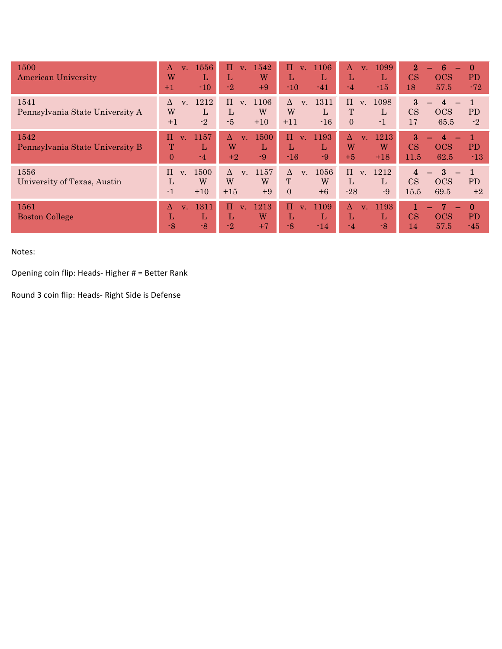| 1500<br><b>American University</b>      | 1556<br>Λ<br>$V_{\perp}$<br>W<br>L<br>$-10$<br>$+1$              | $\Pi$<br>1542<br>$V_{\perp}$<br>W<br>L<br>$-2$<br>$+9$         | $\Pi$<br>1106<br>V <sub>1</sub><br>L<br>L<br>$-10$<br>$-41$       | 1099<br>$\Lambda$<br>$V_{\odot}$<br>L<br>L<br>$-15$<br>$-4$       | $\mathbf{2}$<br>6<br>$\bf{0}$<br>CS<br><b>OCS</b><br>PD<br>18<br>57.5<br>$-72$ |
|-----------------------------------------|------------------------------------------------------------------|----------------------------------------------------------------|-------------------------------------------------------------------|-------------------------------------------------------------------|--------------------------------------------------------------------------------|
| 1541<br>Pennsylvania State University A | 1212<br>$\Lambda$<br>$V_{\cdot}$<br>W<br>L<br>$-2$<br>$+1$       | $\Pi$<br>1106<br>V <sub>1</sub><br>L<br>W<br>$-5$<br>$+10$     | 1311<br>$\Delta$<br>V.<br>W<br>L<br>$-16$<br>$+11$                | $\Pi$<br>1098<br>V.<br>T<br>$\mathbf{L}$<br>$\Omega$<br>$-1$      | $\boldsymbol{3}$<br>4<br>CS<br><b>OCS</b><br><b>PD</b><br>17<br>65.5<br>$-2$   |
| 1542<br>Pennsylvania State University B | 1157<br>п<br>V <sub>1</sub><br>T<br>L<br>$\Omega$<br>$-4$        | 1500<br>Δ<br>V <sub>1</sub><br>W<br>L<br>$-9$<br>$+2$          | Π<br>1193<br>V <sub>1</sub><br>L<br>L<br>$-9$<br>$-16$            | 1213<br>Δ<br>$V_{\odot}$<br>W<br>W<br>$+5$<br>$+18$               | 3<br>4<br>CS<br><b>OCS</b><br><b>PD</b><br>11.5<br>62.5<br>$-13$               |
| 1556<br>University of Texas, Austin     | 1500<br>$\Pi$<br>$V_{\cdot}$<br>W<br>L<br>$\mathbf{-1}$<br>$+10$ | 1157<br>$\Lambda$<br>V <sub>1</sub><br>W<br>W<br>$+15$<br>$+9$ | 1056<br>$\Lambda$<br>V <sub>1</sub><br>W<br>T<br>$+6$<br>$\Omega$ | $\Pi$<br>v. 1212<br>$\mathbf{L}$<br>$\mathbf{L}$<br>$-28$<br>$-9$ | 3<br>4<br><b>PD</b><br>CS<br><b>OCS</b><br>15.5<br>69.5<br>$+2$                |
| 1561<br><b>Boston College</b>           | 1311<br>Λ<br>V <sub>1</sub><br>L<br>L<br>$-8$<br>$-8$            | 1213<br>$\Pi$<br>V <sub>1</sub><br>W<br>L<br>$-2$<br>$+7$      | 1109<br>Π<br>V <sub>1</sub><br>L<br>L<br>$-8$<br>$-14$            | Δ<br>1193<br>$\overline{\mathbf{v}}$ .<br>L<br>L<br>$-8$<br>$-4$  | $\mathbf{0}$<br>1<br>CS<br><b>OCS</b><br><b>PD</b><br>57.5<br>14<br>$-45$      |

#### Notes:

Opening coin flip: Heads- Higher  $#$  = Better Rank

Round 3 coin flip: Heads- Right Side is Defense